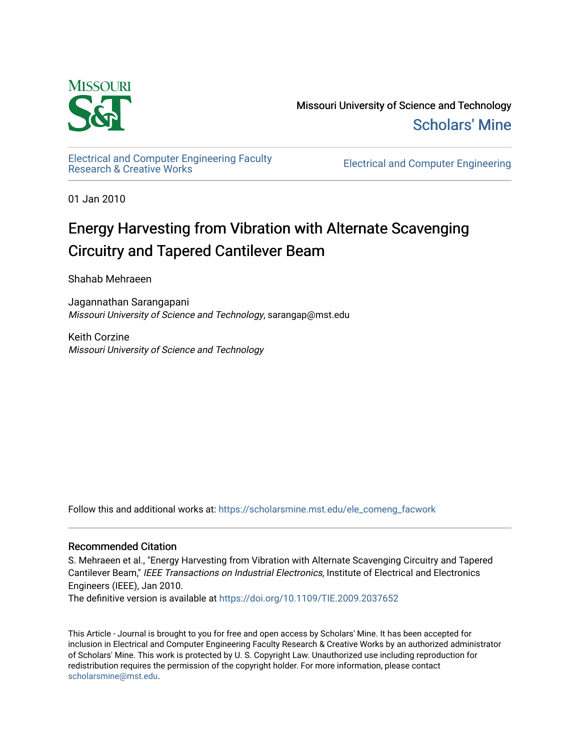

Missouri University of Science and Technology [Scholars' Mine](https://scholarsmine.mst.edu/) 

[Electrical and Computer Engineering Faculty](https://scholarsmine.mst.edu/ele_comeng_facwork)

**Electrical and Computer Engineering** 

01 Jan 2010

## Energy Harvesting from Vibration with Alternate Scavenging Circuitry and Tapered Cantilever Beam

Shahab Mehraeen

Jagannathan Sarangapani Missouri University of Science and Technology, sarangap@mst.edu

Keith Corzine Missouri University of Science and Technology

Follow this and additional works at: [https://scholarsmine.mst.edu/ele\\_comeng\\_facwork](https://scholarsmine.mst.edu/ele_comeng_facwork?utm_source=scholarsmine.mst.edu%2Fele_comeng_facwork%2F1011&utm_medium=PDF&utm_campaign=PDFCoverPages)

## Recommended Citation

S. Mehraeen et al., "Energy Harvesting from Vibration with Alternate Scavenging Circuitry and Tapered Cantilever Beam," IEEE Transactions on Industrial Electronics, Institute of Electrical and Electronics Engineers (IEEE), Jan 2010.

The definitive version is available at <https://doi.org/10.1109/TIE.2009.2037652>

This Article - Journal is brought to you for free and open access by Scholars' Mine. It has been accepted for inclusion in Electrical and Computer Engineering Faculty Research & Creative Works by an authorized administrator of Scholars' Mine. This work is protected by U. S. Copyright Law. Unauthorized use including reproduction for redistribution requires the permission of the copyright holder. For more information, please contact [scholarsmine@mst.edu.](mailto:scholarsmine@mst.edu)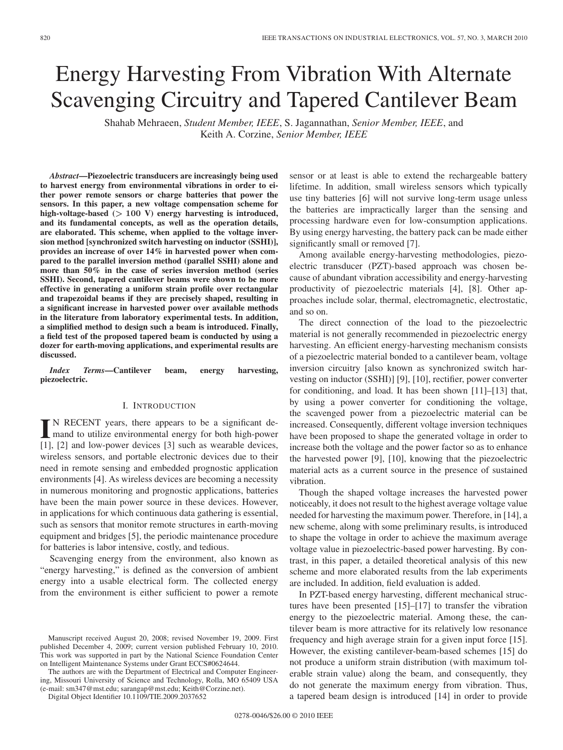# Energy Harvesting From Vibration With Alternate Scavenging Circuitry and Tapered Cantilever Beam

Shahab Mehraeen, *Student Member, IEEE*, S. Jagannathan, *Senior Member, IEEE*, and Keith A. Corzine, *Senior Member, IEEE*

*Abstract***—Piezoelectric transducers are increasingly being used to harvest energy from environmental vibrations in order to either power remote sensors or charge batteries that power the sensors. In this paper, a new voltage compensation scheme for high-voltage-based (***>* **100 V) energy harvesting is introduced, and its fundamental concepts, as well as the operation details, are elaborated. This scheme, when applied to the voltage inversion method [synchronized switch harvesting on inductor (SSHI)], provides an increase of over 14% in harvested power when compared to the parallel inversion method (parallel SSHI) alone and more than 50% in the case of series inversion method (series SSHI). Second, tapered cantilever beams were shown to be more effective in generating a uniform strain profile over rectangular and trapezoidal beams if they are precisely shaped, resulting in a significant increase in harvested power over available methods in the literature from laboratory experimental tests. In addition, a simplified method to design such a beam is introduced. Finally, a field test of the proposed tapered beam is conducted by using a dozer for earth-moving applications, and experimental results are discussed.**

*Index Terms***—Cantilever beam, energy harvesting, piezoelectric.**

## I. INTRODUCTION

II N RECENT years, there appears to be a significant de-<br>mand to utilize environmental energy for both high-power [1], [2] and low-power devices [3] such as wearable devices, wireless sensors, and portable electronic devices due to their need in remote sensing and embedded prognostic application environments [4]. As wireless devices are becoming a necessity in numerous monitoring and prognostic applications, batteries have been the main power source in these devices. However, in applications for which continuous data gathering is essential, such as sensors that monitor remote structures in earth-moving equipment and bridges [5], the periodic maintenance procedure for batteries is labor intensive, costly, and tedious.

Scavenging energy from the environment, also known as "energy harvesting," is defined as the conversion of ambient energy into a usable electrical form. The collected energy from the environment is either sufficient to power a remote

The authors are with the Department of Electrical and Computer Engineering, Missouri University of Science and Technology, Rolla, MO 65409 USA (e-mail: sm347@mst.edu; sarangap@mst.edu; Keith@Corzine.net).

Digital Object Identifier 10.1109/TIE.2009.2037652

sensor or at least is able to extend the rechargeable battery lifetime. In addition, small wireless sensors which typically use tiny batteries [6] will not survive long-term usage unless the batteries are impractically larger than the sensing and processing hardware even for low-consumption applications. By using energy harvesting, the battery pack can be made either significantly small or removed [7].

Among available energy-harvesting methodologies, piezoelectric transducer (PZT)-based approach was chosen because of abundant vibration accessibility and energy-harvesting productivity of piezoelectric materials [4], [8]. Other approaches include solar, thermal, electromagnetic, electrostatic, and so on.

The direct connection of the load to the piezoelectric material is not generally recommended in piezoelectric energy harvesting. An efficient energy-harvesting mechanism consists of a piezoelectric material bonded to a cantilever beam, voltage inversion circuitry [also known as synchronized switch harvesting on inductor (SSHI)] [9], [10], rectifier, power converter for conditioning, and load. It has been shown [11]–[13] that, by using a power converter for conditioning the voltage, the scavenged power from a piezoelectric material can be increased. Consequently, different voltage inversion techniques have been proposed to shape the generated voltage in order to increase both the voltage and the power factor so as to enhance the harvested power [9], [10], knowing that the piezoelectric material acts as a current source in the presence of sustained vibration.

Though the shaped voltage increases the harvested power noticeably, it does not result to the highest average voltage value needed for harvesting the maximum power. Therefore, in [14], a new scheme, along with some preliminary results, is introduced to shape the voltage in order to achieve the maximum average voltage value in piezoelectric-based power harvesting. By contrast, in this paper, a detailed theoretical analysis of this new scheme and more elaborated results from the lab experiments are included. In addition, field evaluation is added.

In PZT-based energy harvesting, different mechanical structures have been presented [15]–[17] to transfer the vibration energy to the piezoelectric material. Among these, the cantilever beam is more attractive for its relatively low resonance frequency and high average strain for a given input force [15]. However, the existing cantilever-beam-based schemes [15] do not produce a uniform strain distribution (with maximum tolerable strain value) along the beam, and consequently, they do not generate the maximum energy from vibration. Thus, a tapered beam design is introduced [14] in order to provide

Manuscript received August 20, 2008; revised November 19, 2009. First published December 4, 2009; current version published February 10, 2010. This work was supported in part by the National Science Foundation Center on Intelligent Maintenance Systems under Grant ECCS#0624644.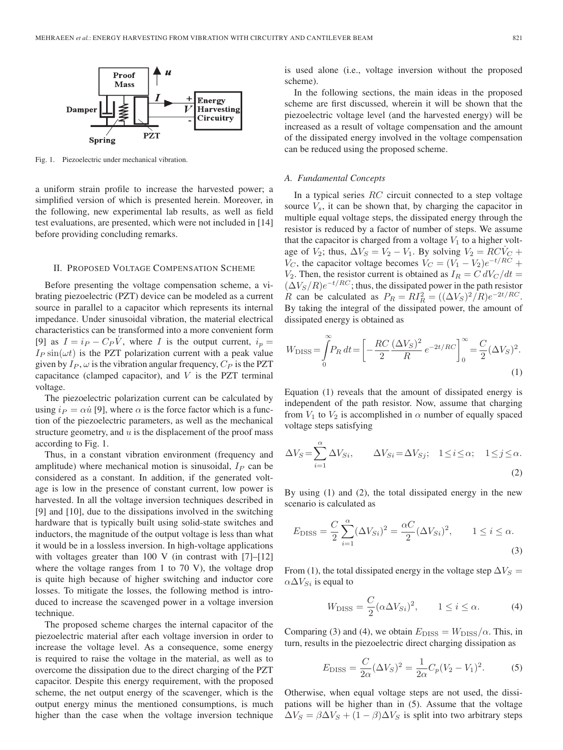

Fig. 1. Piezoelectric under mechanical vibration.

a uniform strain profile to increase the harvested power; a simplified version of which is presented herein. Moreover, in the following, new experimental lab results, as well as field test evaluations, are presented, which were not included in [14] before providing concluding remarks.

### II. PROPOSED VOLTAGE COMPENSATION SCHEME

Before presenting the voltage compensation scheme, a vibrating piezoelectric (PZT) device can be modeled as a current source in parallel to a capacitor which represents its internal impedance. Under sinusoidal vibration, the material electrical characteristics can be transformed into a more convenient form [9] as  $I = i_P - C_P V$ , where I is the output current,  $i_p =$  $I_P \sin(\omega t)$  is the PZT polarization current with a peak value given by  $I_P$ ,  $\omega$  is the vibration angular frequency,  $C_P$  is the PZT capacitance (clamped capacitor), and  $V$  is the PZT terminal voltage.

The piezoelectric polarization current can be calculated by using  $i_P = \alpha \dot{u}$  [9], where  $\alpha$  is the force factor which is a function of the piezoelectric parameters, as well as the mechanical structure geometry, and  $u$  is the displacement of the proof mass according to Fig. 1.

Thus, in a constant vibration environment (frequency and amplitude) where mechanical motion is sinusoidal,  $I_P$  can be considered as a constant. In addition, if the generated voltage is low in the presence of constant current, low power is harvested. In all the voltage inversion techniques described in [9] and [10], due to the dissipations involved in the switching hardware that is typically built using solid-state switches and inductors, the magnitude of the output voltage is less than what it would be in a lossless inversion. In high-voltage applications with voltages greater than 100 V (in contrast with  $[7]-[12]$ where the voltage ranges from 1 to 70 V), the voltage drop is quite high because of higher switching and inductor core losses. To mitigate the losses, the following method is introduced to increase the scavenged power in a voltage inversion technique.

The proposed scheme charges the internal capacitor of the piezoelectric material after each voltage inversion in order to increase the voltage level. As a consequence, some energy is required to raise the voltage in the material, as well as to overcome the dissipation due to the direct charging of the PZT capacitor. Despite this energy requirement, with the proposed scheme, the net output energy of the scavenger, which is the output energy minus the mentioned consumptions, is much higher than the case when the voltage inversion technique is used alone (i.e., voltage inversion without the proposed scheme).

In the following sections, the main ideas in the proposed scheme are first discussed, wherein it will be shown that the piezoelectric voltage level (and the harvested energy) will be increased as a result of voltage compensation and the amount of the dissipated energy involved in the voltage compensation can be reduced using the proposed scheme.

#### *A. Fundamental Concepts*

In a typical series  $RC$  circuit connected to a step voltage source  $V_s$ , it can be shown that, by charging the capacitor in multiple equal voltage steps, the dissipated energy through the resistor is reduced by a factor of number of steps. We assume that the capacitor is charged from a voltage  $V_1$  to a higher voltage of  $V_2$ ; thus,  $\Delta V_S = V_2 - V_1$ . By solving  $V_2 = RCV_C +$  $V_C$ , the capacitor voltage becomes  $V_C = (V_1 - V_2)e^{-t/RC} +$  $V_2$ . Then, the resistor current is obtained as  $I_R = C dV_C/dt$  $(\Delta V_S/R)e^{-t/RC}$ ; thus, the dissipated power in the path resistor R can be calculated as  $P_R = RI_R^2 = ((\Delta V_S)^2/R)e^{-2t/RC}$ . By taking the integral of the dissipated power, the amount of dissipated energy is obtained as

$$
W_{\rm DISS} = \int_{0}^{\infty} P_R dt = \left[ -\frac{RC}{2} \frac{(\Delta V_S)^2}{R} e^{-2t/RC} \right]_{0}^{\infty} = \frac{C}{2} (\Delta V_S)^2.
$$
\n(1)

Equation (1) reveals that the amount of dissipated energy is independent of the path resistor. Now, assume that charging from  $V_1$  to  $V_2$  is accomplished in  $\alpha$  number of equally spaced voltage steps satisfying

$$
\Delta V_S = \sum_{i=1}^{\alpha} \Delta V_{Si}, \qquad \Delta V_{Si} = \Delta V_{Sj}; \quad 1 \le i \le \alpha; \quad 1 \le j \le \alpha.
$$
\n(2)

By using (1) and (2), the total dissipated energy in the new scenario is calculated as

$$
E_{\text{DISS}} = \frac{C}{2} \sum_{i=1}^{\alpha} (\Delta V_{Si})^2 = \frac{\alpha C}{2} (\Delta V_{Si})^2, \qquad 1 \le i \le \alpha.
$$
\n(3)

From (1), the total dissipated energy in the voltage step  $\Delta V_S =$  $\alpha \Delta V_{Si}$  is equal to

$$
W_{\text{DISS}} = \frac{C}{2} (\alpha \Delta V_{Si})^2, \qquad 1 \le i \le \alpha. \tag{4}
$$

Comparing (3) and (4), we obtain  $E_{\text{DISS}} = W_{\text{DISS}}/\alpha$ . This, in turn, results in the piezoelectric direct charging dissipation as

$$
E_{\text{DISS}} = \frac{C}{2\alpha} (\Delta V_S)^2 = \frac{1}{2\alpha} C_p (V_2 - V_1)^2.
$$
 (5)

Otherwise, when equal voltage steps are not used, the dissipations will be higher than in (5). Assume that the voltage  $\Delta V_S = \beta \Delta V_S + (1 - \beta) \Delta V_S$  is split into two arbitrary steps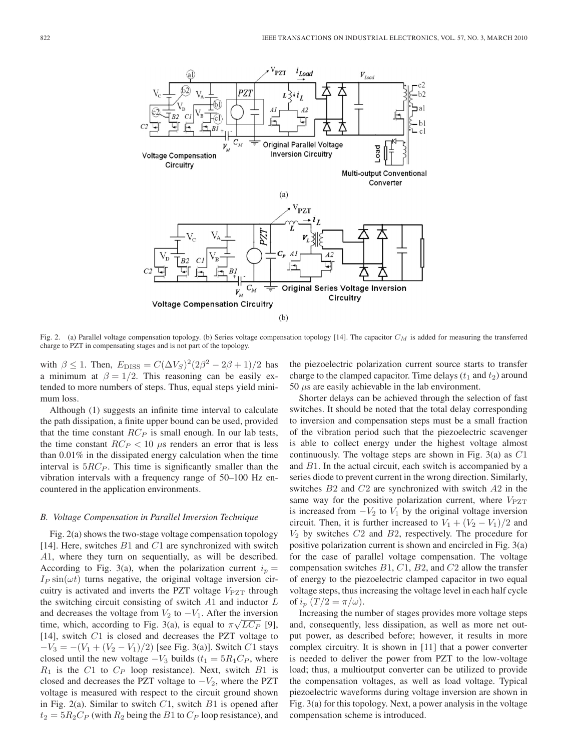

Fig. 2. (a) Parallel voltage compensation topology. (b) Series voltage compensation topology [14]. The capacitor *C<sup>M</sup>* is added for measuring the transferred charge to PZT in compensating stages and is not part of the topology.

with  $\beta \le 1$ . Then,  $E_{\text{DISS}} = C(\Delta V_S)^2 (2\beta^2 - 2\beta + 1)/2$  has a minimum at  $\beta = 1/2$ . This reasoning can be easily extended to more numbers of steps. Thus, equal steps yield minimum loss.

Although (1) suggests an infinite time interval to calculate the path dissipation, a finite upper bound can be used, provided that the time constant  $RC_P$  is small enough. In our lab tests, the time constant  $RC_P < 10 \mu s$  renders an error that is less than 0.01% in the dissipated energy calculation when the time interval is  $5RC_P$ . This time is significantly smaller than the vibration intervals with a frequency range of 50–100 Hz encountered in the application environments.

#### *B. Voltage Compensation in Parallel Inversion Technique*

Fig. 2(a) shows the two-stage voltage compensation topology [14]. Here, switches  $B1$  and  $C1$  are synchronized with switch A1, where they turn on sequentially, as will be described. According to Fig. 3(a), when the polarization current  $i_p =$  $I_P \sin(\omega t)$  turns negative, the original voltage inversion circuitry is activated and inverts the PZT voltage  $V_{PZT}$  through the switching circuit consisting of switch  $A1$  and inductor  $L$ and decreases the voltage from  $V_2$  to  $-V_1$ . After the inversion time, which, according to Fig. 3(a), is equal to  $\pi\sqrt{LC_P}$  [9], [14], switch C1 is closed and decreases the PZT voltage to  $-V_3 = -(V_1 + (V_2 - V_1)/2)$  [see Fig. 3(a)]. Switch C1 stays closed until the new voltage  $-V_3$  builds ( $t_1 = 5R_1C_P$ , where  $R_1$  is the C1 to  $C_P$  loop resistance). Next, switch B1 is closed and decreases the PZT voltage to  $-V_2$ , where the PZT voltage is measured with respect to the circuit ground shown in Fig. 2(a). Similar to switch  $C1$ , switch  $B1$  is opened after  $t_2 = 5R_2C_P$  (with  $R_2$  being the B1 to  $C_P$  loop resistance), and the piezoelectric polarization current source starts to transfer charge to the clamped capacitor. Time delays  $(t_1$  and  $t_2)$  around  $50 \mu s$  are easily achievable in the lab environment.

Shorter delays can be achieved through the selection of fast switches. It should be noted that the total delay corresponding to inversion and compensation steps must be a small fraction of the vibration period such that the piezoelectric scavenger is able to collect energy under the highest voltage almost continuously. The voltage steps are shown in Fig.  $3(a)$  as  $C1$ and B1. In the actual circuit, each switch is accompanied by a series diode to prevent current in the wrong direction. Similarly, switches B2 and C2 are synchronized with switch A2 in the same way for the positive polarization current, where  $V_{\text{PZT}}$ is increased from  $-V_2$  to  $V_1$  by the original voltage inversion circuit. Then, it is further increased to  $V_1 + (V_2 - V_1)/2$  and  $V_2$  by switches  $C2$  and  $B2$ , respectively. The procedure for positive polarization current is shown and encircled in Fig. 3(a) for the case of parallel voltage compensation. The voltage compensation switches  $B1, C1, B2$ , and  $C2$  allow the transfer of energy to the piezoelectric clamped capacitor in two equal voltage steps, thus increasing the voltage level in each half cycle of  $i_p(T/2 = \pi/\omega)$ .

Increasing the number of stages provides more voltage steps and, consequently, less dissipation, as well as more net output power, as described before; however, it results in more complex circuitry. It is shown in [11] that a power converter is needed to deliver the power from PZT to the low-voltage load; thus, a multioutput converter can be utilized to provide the compensation voltages, as well as load voltage. Typical piezoelectric waveforms during voltage inversion are shown in Fig. 3(a) for this topology. Next, a power analysis in the voltage compensation scheme is introduced.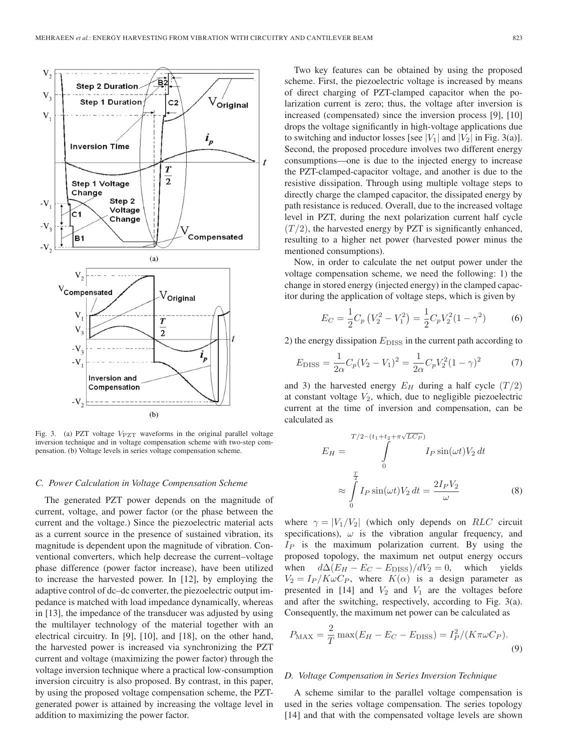

Fig. 3. (a) PZT voltage  $V_{\text{PZT}}$  waveforms in the original parallel voltage inversion technique and in voltage compensation scheme with two-step compensation. (b) Voltage levels in series voltage compensation scheme.

#### *C. Power Calculation in Voltage Compensation Scheme*

The generated PZT power depends on the magnitude of current, voltage, and power factor (or the phase between the current and the voltage.) Since the piezoelectric material acts as a current source in the presence of sustained vibration, its magnitude is dependent upon the magnitude of vibration. Conventional converters, which help decrease the current–voltage phase difference (power factor increase), have been utilized to increase the harvested power. In [12], by employing the adaptive control of dc–dc converter, the piezoelectric output impedance is matched with load impedance dynamically, whereas in [13], the impedance of the transducer was adjusted by using the multilayer technology of the material together with an electrical circuitry. In [9], [10], and [18], on the other hand, the harvested power is increased via synchronizing the PZT current and voltage (maximizing the power factor) through the voltage inversion technique where a practical low-consumption inversion circuitry is also proposed. By contrast, in this paper, by using the proposed voltage compensation scheme, the PZTgenerated power is attained by increasing the voltage level in addition to maximizing the power factor.

Two key features can be obtained by using the proposed scheme. First, the piezoelectric voltage is increased by means of direct charging of PZT-clamped capacitor when the polarization current is zero; thus, the voltage after inversion is increased (compensated) since the inversion process [9], [10] drops the voltage significantly in high-voltage applications due to switching and inductor losses [see  $|V_1|$  and  $|V_2|$  in Fig. 3(a)]. Second, the proposed procedure involves two different energy consumptions—one is due to the injected energy to increase the PZT-clamped-capacitor voltage, and another is due to the resistive dissipation. Through using multiple voltage steps to directly charge the clamped capacitor, the dissipated energy by path resistance is reduced. Overall, due to the increased voltage level in PZT, during the next polarization current half cycle  $(T/2)$ , the harvested energy by PZT is significantly enhanced, resulting to a higher net power (harvested power minus the mentioned consumptions).

Now, in order to calculate the net output power under the voltage compensation scheme, we need the following: 1) the change in stored energy (injected energy) in the clamped capacitor during the application of voltage steps, which is given by

$$
E_C = \frac{1}{2}C_p \left(V_2^2 - V_1^2\right) = \frac{1}{2}C_p V_2^2 (1 - \gamma^2) \tag{6}
$$

2) the energy dissipation  $E_{\text{DISS}}$  in the current path according to

$$
E_{\rm DISS} = \frac{1}{2\alpha} C_p (V_2 - V_1)^2 = \frac{1}{2\alpha} C_p V_2^2 (1 - \gamma)^2 \tag{7}
$$

and 3) the harvested energy  $E_H$  during a half cycle  $(T/2)$ at constant voltage  $V_2$ , which, due to negligible piezoelectric current at the time of inversion and compensation, can be calculated as

$$
E_H = \int\limits_{0}^{T/2 - (t_1 + t_2 + \pi \sqrt{LC_P})} I_P \sin(\omega t) V_2 dt
$$

$$
\approx \int\limits_{0}^{\frac{T}{2}} I_P \sin(\omega t) V_2 dt = \frac{2I_P V_2}{\omega}
$$
(8)

where  $\gamma = |V_1/V_2|$  (which only depends on RLC circuit specifications),  $\omega$  is the vibration angular frequency, and  $I_P$  is the maximum polarization current. By using the proposed topology, the maximum net output energy occurs when  $d\Delta(E_H - E_C - E_{\text{DISS}})/dV_2 = 0$ , which yields  $V_2 = I_P / K \omega C_P$ , where  $K(\alpha)$  is a design parameter as presented in [14] and  $V_2$  and  $V_1$  are the voltages before and after the switching, respectively, according to Fig. 3(a). Consequently, the maximum net power can be calculated as

$$
P_{\text{MAX}} = \frac{2}{T} \max(E_H - E_C - E_{\text{DISS}}) = I_P^2 / (K \pi \omega C_P).
$$
\n(9)

## *D. Voltage Compensation in Series Inversion Technique*

A scheme similar to the parallel voltage compensation is used in the series voltage compensation. The series topology [14] and that with the compensated voltage levels are shown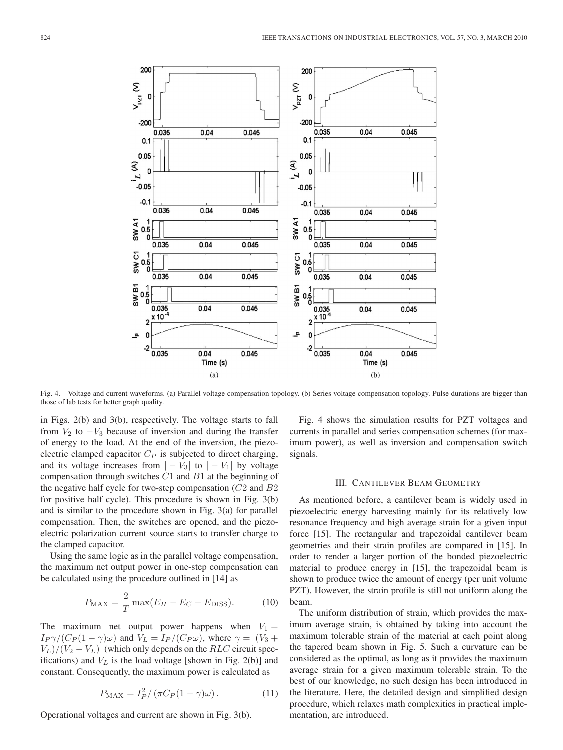

Fig. 4. Voltage and current waveforms. (a) Parallel voltage compensation topology. (b) Series voltage compensation topology. Pulse durations are bigger than those of lab tests for better graph quality.

in Figs. 2(b) and 3(b), respectively. The voltage starts to fall from  $V_2$  to  $-V_3$  because of inversion and during the transfer of energy to the load. At the end of the inversion, the piezoelectric clamped capacitor  $C_P$  is subjected to direct charging, and its voltage increases from  $|-V_3|$  to  $|-V_1|$  by voltage compensation through switches  $C1$  and  $B1$  at the beginning of the negative half cycle for two-step compensation  $(C2 \text{ and } B2)$ for positive half cycle). This procedure is shown in Fig. 3(b) and is similar to the procedure shown in Fig. 3(a) for parallel compensation. Then, the switches are opened, and the piezoelectric polarization current source starts to transfer charge to the clamped capacitor.

Using the same logic as in the parallel voltage compensation, the maximum net output power in one-step compensation can be calculated using the procedure outlined in [14] as

$$
P_{\text{MAX}} = \frac{2}{T} \max(E_H - E_C - E_{\text{DISS}}). \tag{10}
$$

The maximum net output power happens when  $V_1$  =  $I_P \gamma/(C_P(1-\gamma)\omega)$  and  $V_L = I_P/(C_P \omega)$ , where  $\gamma = |(V_3 + V_1 \omega)|$  $V_L$ / $(V_2 - V_L)$  (which only depends on the *RLC* circuit specifications) and  $V<sub>L</sub>$  is the load voltage [shown in Fig. 2(b)] and constant. Consequently, the maximum power is calculated as

$$
P_{\text{MAX}} = I_P^2 / \left( \pi C_P (1 - \gamma) \omega \right). \tag{11}
$$

Operational voltages and current are shown in Fig. 3(b).

Fig. 4 shows the simulation results for PZT voltages and currents in parallel and series compensation schemes (for maximum power), as well as inversion and compensation switch signals.

## III. CANTILEVER BEAM GEOMETRY

As mentioned before, a cantilever beam is widely used in piezoelectric energy harvesting mainly for its relatively low resonance frequency and high average strain for a given input force [15]. The rectangular and trapezoidal cantilever beam geometries and their strain profiles are compared in [15]. In order to render a larger portion of the bonded piezoelectric material to produce energy in [15], the trapezoidal beam is shown to produce twice the amount of energy (per unit volume PZT). However, the strain profile is still not uniform along the beam.

The uniform distribution of strain, which provides the maximum average strain, is obtained by taking into account the maximum tolerable strain of the material at each point along the tapered beam shown in Fig. 5. Such a curvature can be considered as the optimal, as long as it provides the maximum average strain for a given maximum tolerable strain. To the best of our knowledge, no such design has been introduced in the literature. Here, the detailed design and simplified design procedure, which relaxes math complexities in practical implementation, are introduced.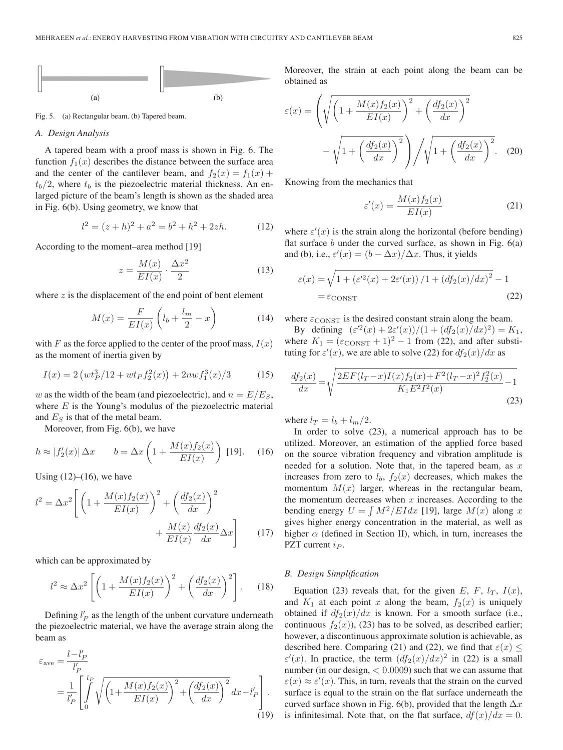

Fig. 5. (a) Rectangular beam. (b) Tapered beam.

#### *A. Design Analysis*

A tapered beam with a proof mass is shown in Fig. 6. The function  $f_1(x)$  describes the distance between the surface area and the center of the cantilever beam, and  $f_2(x) = f_1(x) +$  $t_b/2$ , where  $t_b$  is the piezoelectric material thickness. An enlarged picture of the beam's length is shown as the shaded area in Fig. 6(b). Using geometry, we know that

$$
l^2 = (z+h)^2 + a^2 = b^2 + h^2 + 2zh.
$$
 (12)

According to the moment–area method [19]

$$
z = \frac{M(x)}{EI(x)} \cdot \frac{\Delta x^2}{2} \tag{13}
$$

where  $z$  is the displacement of the end point of bent element

$$
M(x) = \frac{F}{EI(x)} \left( l_b + \frac{l_m}{2} - x \right) \tag{14}
$$

with F as the force applied to the center of the proof mass,  $I(x)$ as the moment of inertia given by

$$
I(x) = 2\left(wt_P^3/12 + wt_Pf_2^2(x)\right) + 2nwf_1^3(x)/3\tag{15}
$$

w as the width of the beam (and piezoelectric), and  $n = E/E<sub>S</sub>$ , where  $E$  is the Young's modulus of the piezoelectric material and  $E<sub>S</sub>$  is that of the metal beam.

Moreover, from Fig. 6(b), we have

$$
h \approx |f_2'(x)| \Delta x \qquad b = \Delta x \left( 1 + \frac{M(x)f_2(x)}{EI(x)} \right) \text{ [19].} \tag{16}
$$

Using  $(12)$ – $(16)$ , we have

$$
l^{2} = \Delta x^{2} \left[ \left( 1 + \frac{M(x)f_{2}(x)}{EI(x)} \right)^{2} + \left( \frac{df_{2}(x)}{dx} \right)^{2} + \frac{M(x)}{EI(x)} \frac{df_{2}(x)}{dx} \Delta x \right]
$$
(17)

which can be approximated by

$$
l^2 \approx \Delta x^2 \left[ \left( 1 + \frac{M(x)f_2(x)}{EI(x)} \right)^2 + \left( \frac{df_2(x)}{dx} \right)^2 \right].
$$
 (18)

Defining  $l'_P$  as the length of the unbent curvature underneath the piezoelectric material, we have the average strain along the beam as

$$
\varepsilon_{\text{ave}} = \frac{l - l'_P}{l'_P}
$$
\n
$$
= \frac{1}{l'_P} \left[ \int_0^{l_P} \sqrt{\left(1 + \frac{M(x)f_2(x)}{EI(x)}\right)^2 + \left(\frac{df_2(x)}{dx}\right)^2} dx - l'_P \right].
$$
\n(19)

Moreover, the strain at each point along the beam can be obtained as

$$
\varepsilon(x) = \left(\sqrt{\left(1 + \frac{M(x)f_2(x)}{EI(x)}\right)^2 + \left(\frac{df_2(x)}{dx}\right)^2} - \sqrt{1 + \left(\frac{df_2(x)}{dx}\right)^2}\right) / \sqrt{1 + \left(\frac{df_2(x)}{dx}\right)^2}.
$$
 (20)

Knowing from the mechanics that

$$
\varepsilon'(x) = \frac{M(x)f_2(x)}{EI(x)}
$$
\n(21)

where  $\varepsilon'(x)$  is the strain along the horizontal (before bending) flat surface  $b$  under the curved surface, as shown in Fig.  $6(a)$ and (b), i.e.,  $\varepsilon'(x) = (b - \Delta x)/\Delta x$ . Thus, it yields

$$
\varepsilon(x) = \sqrt{1 + \left(\varepsilon'^2(x) + 2\varepsilon'(x)\right)/1 + \left(df_2(x)/dx\right)^2} - 1
$$
  
=  $\varepsilon$ consr (22)

where  $\varepsilon_{\text{CONST}}$  is the desired constant strain along the beam.

By defining  $(\varepsilon'^2(x) + 2\varepsilon'(x))/(1 + (df_2(x)/dx)^2) = K_1$ , where  $K_1 = (\varepsilon_{\text{CONST}} + 1)^2 - 1$  from (22), and after substituting for  $\varepsilon'(x)$ , we are able to solve (22) for  $df_2(x)/dx$  as

$$
\frac{df_2(x)}{dx} = \sqrt{\frac{2EF(l_T - x)I(x)f_2(x) + F^2(l_T - x)^2f_2^2(x)}{K_1E^2I^2(x)} - 1}
$$
\n(23)

where  $l_T = l_b + l_m/2$ .

In order to solve (23), a numerical approach has to be utilized. Moreover, an estimation of the applied force based on the source vibration frequency and vibration amplitude is needed for a solution. Note that, in the tapered beam, as  $x$ increases from zero to  $l_b$ ,  $f_2(x)$  decreases, which makes the momentum  $M(x)$  larger, whereas in the rectangular beam, the momentum decreases when  $x$  increases. According to the bending energy  $U = \int M^2/EIdx$  [19], large  $M(x)$  along x gives higher energy concentration in the material, as well as higher  $\alpha$  (defined in Section II), which, in turn, increases the PZT current  $i_P$ .

#### *B. Design Simplification*

Equation (23) reveals that, for the given E, F,  $l_T$ ,  $I(x)$ , and  $K_1$  at each point x along the beam,  $f_2(x)$  is uniquely obtained if  $df_2(x)/dx$  is known. For a smooth surface (i.e., continuous  $f_2(x)$ , (23) has to be solved, as described earlier; however, a discontinuous approximate solution is achievable, as described here. Comparing (21) and (22), we find that  $\varepsilon(x) \leq$  $\varepsilon'(x)$ . In practice, the term  $\left( \frac{df_2(x)}{dx} \right)^2$  in (22) is a small number (in our design,  $< 0.0009$ ) such that we can assume that  $\varepsilon(x) \approx \varepsilon'(x)$ . This, in turn, reveals that the strain on the curved surface is equal to the strain on the flat surface underneath the curved surface shown in Fig. 6(b), provided that the length  $\Delta x$ is infinitesimal. Note that, on the flat surface,  $df(x)/dx = 0$ .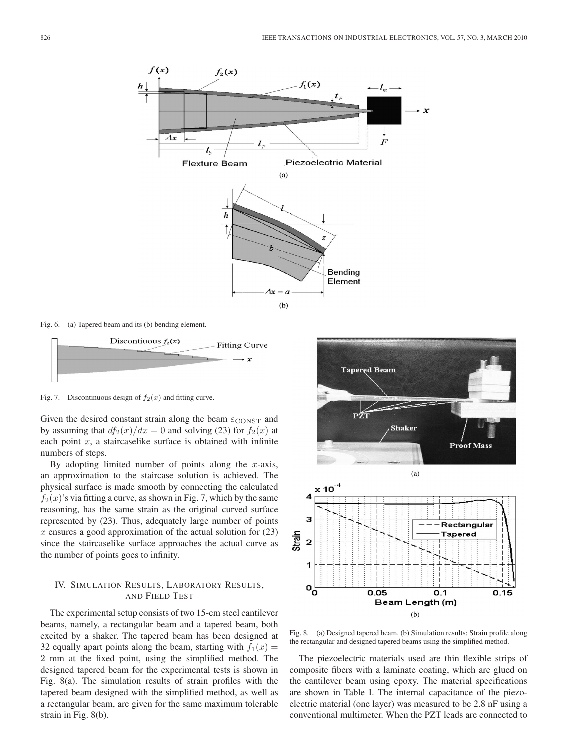

Fig. 6. (a) Tapered beam and its (b) bending element.



Fig. 7. Discontinuous design of  $f_2(x)$  and fitting curve.

Given the desired constant strain along the beam  $\varepsilon_{\text{CONST}}$  and by assuming that  $df_2(x)/dx = 0$  and solving (23) for  $f_2(x)$  at each point  $x$ , a staircaselike surface is obtained with infinite numbers of steps.

By adopting limited number of points along the  $x$ -axis, an approximation to the staircase solution is achieved. The physical surface is made smooth by connecting the calculated  $f_2(x)$ 's via fitting a curve, as shown in Fig. 7, which by the same reasoning, has the same strain as the original curved surface represented by (23). Thus, adequately large number of points  $x$  ensures a good approximation of the actual solution for  $(23)$ since the staircaselike surface approaches the actual curve as the number of points goes to infinity.

## IV. SIMULATION RESULTS, LABORATORY RESULTS, AND FIELD TEST

The experimental setup consists of two 15-cm steel cantilever beams, namely, a rectangular beam and a tapered beam, both excited by a shaker. The tapered beam has been designed at 32 equally apart points along the beam, starting with  $f_1(x) =$ 2 mm at the fixed point, using the simplified method. The designed tapered beam for the experimental tests is shown in Fig. 8(a). The simulation results of strain profiles with the tapered beam designed with the simplified method, as well as a rectangular beam, are given for the same maximum tolerable strain in Fig. 8(b).



Fig. 8. (a) Designed tapered beam. (b) Simulation results: Strain profile along the rectangular and designed tapered beams using the simplified method.

The piezoelectric materials used are thin flexible strips of composite fibers with a laminate coating, which are glued on the cantilever beam using epoxy. The material specifications are shown in Table I. The internal capacitance of the piezoelectric material (one layer) was measured to be 2.8 nF using a conventional multimeter. When the PZT leads are connected to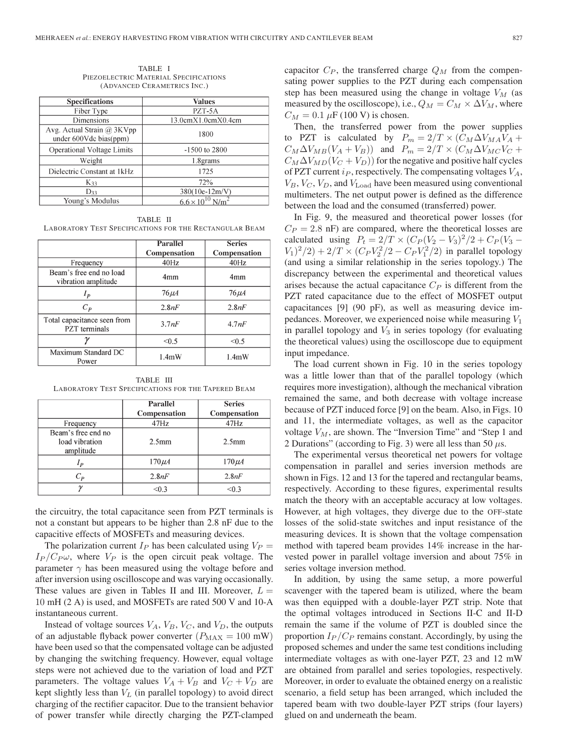TABLE I PIEZOELECTRIC MATERIAL SPECIFICATIONS (ADVANCED CERAMETRICS INC.)

| <b>Specifications</b>                                    | <b>Values</b>        |  |
|----------------------------------------------------------|----------------------|--|
| Fiber Type                                               | PZT-5A               |  |
| Dimensions                                               | 13.0cmX1.0cmX0.4cm   |  |
| Avg. Actual Strain $(a)$ 3KVpp<br>under 600Vdc bias(ppm) | 1800                 |  |
| <b>Operational Voltage Limits</b>                        | $-1500$ to 2800      |  |
| Weight                                                   | 1.8grams             |  |
| Dielectric Constant at 1kHz                              | 1725                 |  |
| K <sub>33</sub>                                          | 72%                  |  |
| D33                                                      | 380(10e-12m/V)       |  |
| Young's Modulus                                          | $6.6 \times 10^{10}$ |  |

TABLE II LABORATORY TEST SPECIFICATIONS FOR THE RECTANGULAR BEAM

|                                                     | <b>Parallel</b> | <b>Series</b>   |
|-----------------------------------------------------|-----------------|-----------------|
|                                                     | Compensation    | Compensation    |
| Frequency                                           | 40Hz            | 40Hz            |
| Beam's free end no load<br>vibration amplitude      | 4 <sub>mm</sub> | 4 <sub>mm</sub> |
| $I_p$                                               | $76 \mu A$      | $76 \mu A$      |
| $C_P$                                               | 2.8nF           | 2.8nF           |
| Total capacitance seen from<br><b>PZT</b> terminals | 3.7nF           | 4.7nF           |
|                                                     | < 0.5           | < 0.5           |
| Maximum Standard DC<br>Power                        | 1.4mW           | $1.4m$ W        |

TABLE III LABORATORY TEST SPECIFICATIONS FOR THE TAPERED BEAM

|                                                   | Parallel<br>Compensation | <b>Series</b><br>Compensation |
|---------------------------------------------------|--------------------------|-------------------------------|
| Frequency                                         | 47Hz                     | 47Hz                          |
| Beam's free end no<br>load vibration<br>amplitude | 2.5 <sub>mm</sub>        | 2.5 <sub>mm</sub>             |
| l p                                               | $170 \mu A$              | $170 \mu A$                   |
| $C_{\bm p}$                                       | 2.8nF                    | 2.8nF                         |
|                                                   | < 0.3                    | < 0.3                         |

the circuitry, the total capacitance seen from PZT terminals is not a constant but appears to be higher than 2.8 nF due to the capacitive effects of MOSFETs and measuring devices.

The polarization current  $I_P$  has been calculated using  $V_P =$  $I_P / C_P \omega$ , where  $V_P$  is the open circuit peak voltage. The parameter  $\gamma$  has been measured using the voltage before and after inversion using oscilloscope and was varying occasionally. These values are given in Tables II and III. Moreover,  $L =$ 10 mH (2 A) is used, and MOSFETs are rated 500 V and 10-A instantaneous current.

Instead of voltage sources  $V_A$ ,  $V_B$ ,  $V_C$ , and  $V_D$ , the outputs of an adjustable flyback power converter  $(P_{MAX} = 100$  mW) have been used so that the compensated voltage can be adjusted by changing the switching frequency. However, equal voltage steps were not achieved due to the variation of load and PZT parameters. The voltage values  $V_A + V_B$  and  $V_C + V_D$  are kept slightly less than  $V<sub>L</sub>$  (in parallel topology) to avoid direct charging of the rectifier capacitor. Due to the transient behavior of power transfer while directly charging the PZT-clamped capacitor  $C_P$ , the transferred charge  $Q_M$  from the compensating power supplies to the PZT during each compensation step has been measured using the change in voltage  $V_M$  (as measured by the oscilloscope), i.e.,  $Q_M = C_M \times \Delta V_M$ , where  $C_M = 0.1 \mu F (100 V)$  is chosen.

Then, the transferred power from the power supplies to PZT is calculated by  $P_m = 2/T \times (C_M \Delta V_{MA} V_A +$  $C_M\Delta V_{MB}(V_A+V_B)$  and  $P_m = 2/T \times (C_M\Delta V_{MC}V_C +$  $C_M\Delta V_{MD}(V_C + V_D)$  for the negative and positive half cycles of PZT current  $i_P$ , respectively. The compensating voltages  $V_A$ ,  $V_B, V_C, V_D$ , and  $V_{Load}$  have been measured using conventional multimeters. The net output power is defined as the difference between the load and the consumed (transferred) power.

In Fig. 9, the measured and theoretical power losses (for  $C_P = 2.8$  nF) are compared, where the theoretical losses are calculated using  $P_t = 2/T \times (C_P (V_2 - V_3)^2 / 2 + C_P (V_3 V_1)^2/2$ ) + 2/T ×  $(C_P V_2^2/2 - C_P V_1^2/2)$  in parallel topology (and using a similar relationship in the series topology.) The discrepancy between the experimental and theoretical values arises because the actual capacitance  $C_P$  is different from the PZT rated capacitance due to the effect of MOSFET output capacitances [9] (90 pF), as well as measuring device impedances. Moreover, we experienced noise while measuring  $V_1$ in parallel topology and  $V_3$  in series topology (for evaluating the theoretical values) using the oscilloscope due to equipment input impedance.

The load current shown in Fig. 10 in the series topology was a little lower than that of the parallel topology (which requires more investigation), although the mechanical vibration remained the same, and both decrease with voltage increase because of PZT induced force [9] on the beam. Also, in Figs. 10 and 11, the intermediate voltages, as well as the capacitor voltage  $V_M$ , are shown. The "Inversion Time" and "Step 1 and 2 Durations" (according to Fig. 3) were all less than 50  $\mu$ s.

The experimental versus theoretical net powers for voltage compensation in parallel and series inversion methods are shown in Figs. 12 and 13 for the tapered and rectangular beams, respectively. According to these figures, experimental results match the theory with an acceptable accuracy at low voltages. However, at high voltages, they diverge due to the OFF-state losses of the solid-state switches and input resistance of the measuring devices. It is shown that the voltage compensation method with tapered beam provides 14% increase in the harvested power in parallel voltage inversion and about 75% in series voltage inversion method.

In addition, by using the same setup, a more powerful scavenger with the tapered beam is utilized, where the beam was then equipped with a double-layer PZT strip. Note that the optimal voltages introduced in Sections II-C and II-D remain the same if the volume of PZT is doubled since the proportion  $I_P / C_P$  remains constant. Accordingly, by using the proposed schemes and under the same test conditions including intermediate voltages as with one-layer PZT, 23 and 12 mW are obtained from parallel and series topologies, respectively. Moreover, in order to evaluate the obtained energy on a realistic scenario, a field setup has been arranged, which included the tapered beam with two double-layer PZT strips (four layers) glued on and underneath the beam.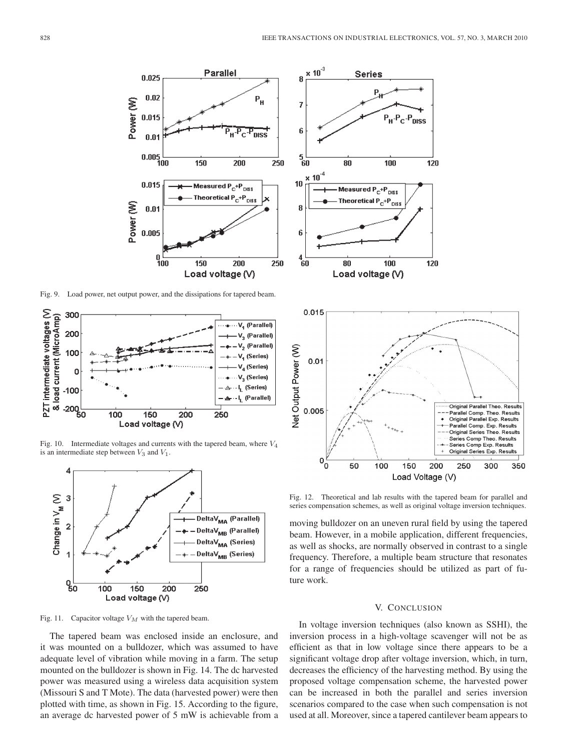**Series** 

 $\times 10^{-3}$ Parallel 0.025 8  $\bar{\mathsf{P}}_\mathsf{H}$  $0.02$ Power (W) 7 0.015 6 '<sub>н</sub>.Ρ<sub>с</sub>⊣ **DISS**  $0.0$  $0.005 \begin{array}{c} 0.000 \\ 100 \end{array}$  $5\frac{1}{60}$ 150 200 250  $\times 10^{-4}$ 10 Measured P<sub>C</sub>+P<sub>DISS</sub> 0.015 Theoretical P<sub>C</sub>+P<sub>DISS</sub> Power (W)  $0.01$ R 0.005 ĥ  $0 -$ <br> $100$  $^{4}_{60}$ 150 200 250 Load voltage (V)

Fig. 9. Load power, net output power, and the dissipations for tapered beam.



Fig. 10. Intermediate voltages and currents with the tapered beam, where *V*<sup>4</sup> is an intermediate step between *V*<sup>3</sup> and *V*1.



Fig. 11. Capacitor voltage *V<sup>M</sup>* with the tapered beam.

The tapered beam was enclosed inside an enclosure, and it was mounted on a bulldozer, which was assumed to have adequate level of vibration while moving in a farm. The setup mounted on the bulldozer is shown in Fig. 14. The dc harvested power was measured using a wireless data acquisition system (Missouri S and T Mote). The data (harvested power) were then plotted with time, as shown in Fig. 15. According to the figure, an average dc harvested power of 5 mW is achievable from a



Fig. 12. Theoretical and lab results with the tapered beam for parallel and series compensation schemes, as well as original voltage inversion techniques.

moving bulldozer on an uneven rural field by using the tapered beam. However, in a mobile application, different frequencies, as well as shocks, are normally observed in contrast to a single frequency. Therefore, a multiple beam structure that resonates for a range of frequencies should be utilized as part of future work.

#### V. CONCLUSION

In voltage inversion techniques (also known as SSHI), the inversion process in a high-voltage scavenger will not be as efficient as that in low voltage since there appears to be a significant voltage drop after voltage inversion, which, in turn, decreases the efficiency of the harvesting method. By using the proposed voltage compensation scheme, the harvested power can be increased in both the parallel and series inversion scenarios compared to the case when such compensation is not used at all. Moreover, since a tapered cantilever beam appears to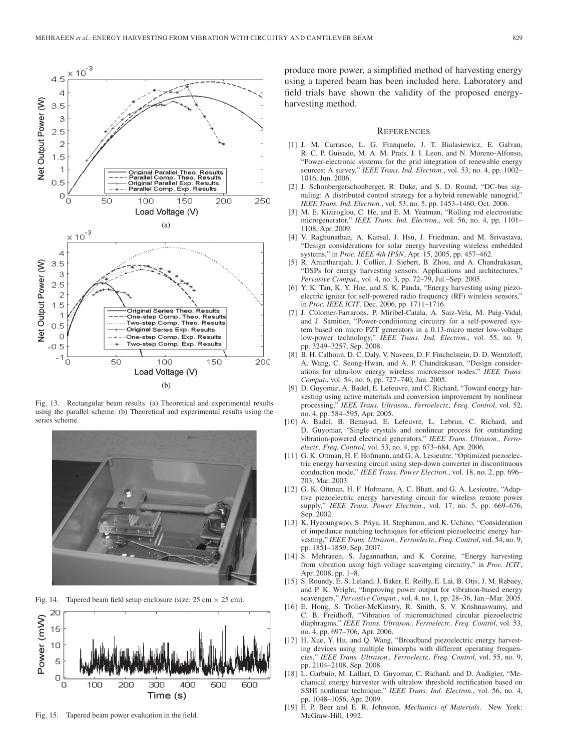

Fig. 13. Rectangular beam results. (a) Theoretical and experimental results using the parallel scheme. (b) Theoretical and experimental results using the series scheme.



Fig. 14. Tapered beam field setup enclosure (size: 25 cm *×* 25 cm).



Fig. 15. Tapered beam power evaluation in the field.

produce more power, a simplified method of harvesting energy using a tapered beam has been included here. Laboratory and field trials have shown the validity of the proposed energyharvesting method.

#### **REFERENCES**

- [1] J. M. Carrasco, L. G. Franquelo, J. T. Bialasiewicz, E. Galvan, R. C. P. Guisado, M. A. M. Prats, J. I. Leon, and N. Moreno-Alfonso, "Power-electronic systems for the grid integration of renewable energy sources: A survey," *IEEE Trans. Ind. Electron.*, vol. 53, no. 4, pp. 1002– 1016, Jun. 2006.
- [2] J. Schonbergerschonberger, R. Duke, and S. D. Round, "DC-bus signaling: A distributed control strategy for a hybrid renewable nanogrid,' *IEEE Trans. Ind. Electron.*, vol. 53, no. 5, pp. 1453–1460, Oct. 2006.
- [3] M. E. Kiziroglou, C. He, and E. M. Yeatman, "Rolling rod electrostatic microgenerator," *IEEE Trans. Ind. Electron.*, vol. 56, no. 4, pp. 1101– 1108, Apr. 2009.
- [4] V. Raghunathan, A. Kansal, J. Hsu, J. Friedman, and M. Srivastava, "Design considerations for solar energy harvesting wireless embedded systems," in *Proc. IEEE 4th IPSN*, Apr. 15, 2005, pp. 457–462.
- [5] R. Amirtharajah, J. Collier, J. Siebert, B. Zhou, and A. Chandrakasan, "DSPs for energy harvesting sensors: Applications and architectures," *Pervasive Comput.*, vol. 4, no. 3, pp. 72–79, Jul.–Sep. 2005.
- [6] Y. K. Tan, K. Y. Hoe, and S. K. Panda, "Energy harvesting using piezoelectric igniter for self-powered radio frequency (RF) wireless sensors," in *Proc. IEEE ICIT*, Dec. 2006, pp. 1711–1716.
- [7] J. Colomer-Farrarons, P. Miribel-Catala, A. Saiz-Vela, M. Puig-Vidal, and J. Samitier, "Power-conditioning circuitry for a self-powered system based on micro PZT generators in a 0.13-micro meter low-voltage low-power technology," *IEEE Trans. Ind. Electron.*, vol. 55, no. 9, pp. 3249–3257, Sep. 2008.
- [8] B. H. Calhoun, D. C. Daly, V. Naveen, D. F. Finchelstein, D. D. Wentzloff, A. Wang, C. Seong-Hwan, and A. P. Chandrakasan, "Design considerations for ultra-low energy wireless microsensor nodes," *IEEE Trans. Comput.*, vol. 54, no. 6, pp. 727–740, Jun. 2005.
- [9] D. Guyomar, A. Badel, E. Lefeuvre, and C. Richard, "Toward energy harvesting using active materials and conversion improvement by nonlinear processing," *IEEE Trans. Ultrason., Ferroelectr., Freq. Control*, vol. 52, no. 4, pp. 584–595, Apr. 2005.
- [10] A. Badel, B. Benayad, E. Lefeuvre, L. Lebrun, C. Richard, and D. Guyomar, "Single crystals and nonlinear process for outstanding vibration-powered electrical generators," *IEEE Trans. Ultrason., Ferroelectr., Freq. Control*, vol. 53, no. 4, pp. 673–684, Apr. 2006.
- [11] G. K. Ottman, H. F. Hofmann, and G. A. Lesieutre, "Optimized piezoelectric energy harvesting circuit using step-down converter in discontinuous conduction mode," *IEEE Trans. Power Electron.*, vol. 18, no. 2, pp. 696– 703, Mar. 2003.
- [12] G. K. Ottman, H. F. Hofmann, A. C. Bhatt, and G. A. Lesieutre, "Adaptive piezoelectric energy harvesting circuit for wireless remote power supply," *IEEE Trans. Power Electron.*, vol. 17, no. 5, pp. 669–676, Sep. 2002.
- [13] K. Hyeoungwoo, S. Priya, H. Stephanou, and K. Uchino, "Consideration of impedance matching techniques for efficient piezoelectric energy harvesting," *IEEE Trans. Ultrason., Ferroelectr., Freq. Control*, vol. 54, no. 9, pp. 1851–1859, Sep. 2007.
- [14] S. Mehraeen, S. Jagannathan, and K. Corzine, "Energy harvesting from vibration using high voltage scavenging circuitry," in *Proc. ICIT*, Apr. 2008, pp. 1–8.
- [15] S. Roundy, E. S. Leland, J. Baker, E. Reilly, E. Lai, B. Otis, J. M. Rabaey, and P. K. Wright, "Improving power output for vibration-based energy scavengers," *Pervasive Comput.*, vol. 4, no. 1, pp. 28–36, Jan.–Mar. 2005.
- [16] E. Hong, S. Trolier-McKinstry, R. Smith, S. V. Krishnaswamy, and C. B. Freidhoff, "Vibration of micromachined circular piezoelectric diaphragms," *IEEE Trans. Ultrason., Ferroelectr., Freq. Control*, vol. 53, no. 4, pp. 697–706, Apr. 2006.
- [17] H. Xue, Y. Hu, and Q. Wang, "Broadband piezoelectric energy harvesting devices using multiple bimorphs with different operating frequencies," *IEEE Trans. Ultrason., Ferroelectr., Freq. Control*, vol. 55, no. 9, pp. 2104–2108, Sep. 2008.
- [18] L. Garbuio, M. Lallart, D. Guyomar, C. Richard, and D. Audigier, "Mechanical energy harvester with ultralow threshold rectification based on SSHI nonlinear technique," *IEEE Trans. Ind. Electron.*, vol. 56, no. 4, pp. 1048–1056, Apr. 2009.
- [19] F. P. Beer and E. R. Johnston, *Mechanics of Materials*. New York: McGraw-Hill, 1992.